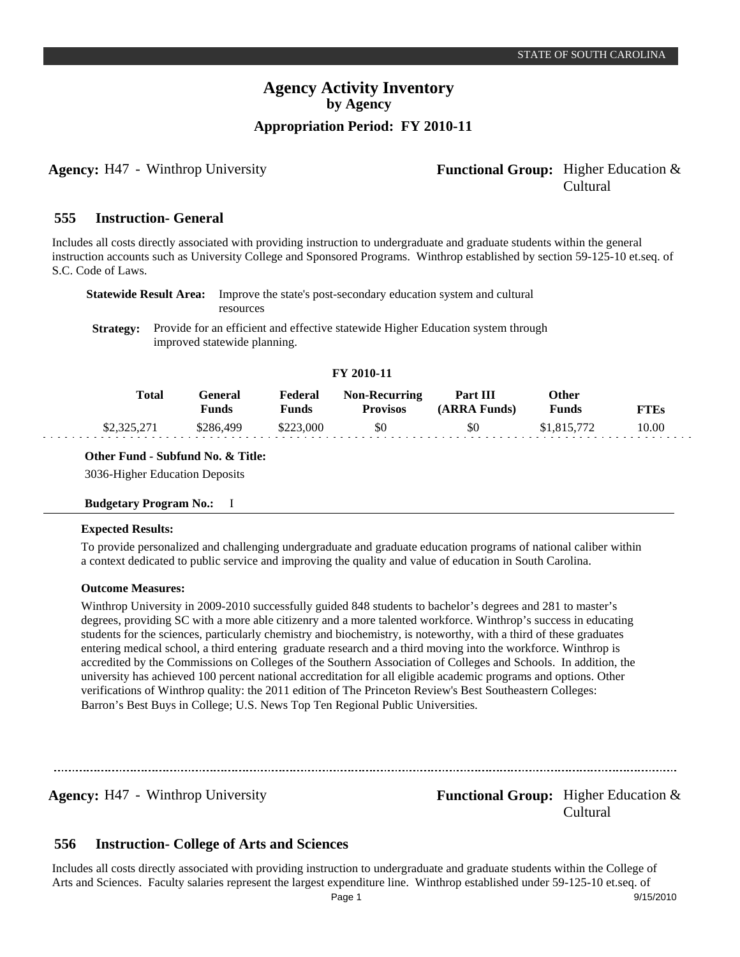## **Agency:** H47 - Winthrop University **- Agency: Functional Group:** Higher Education & Cultural

#### **Instruction- General 555**

Includes all costs directly associated with providing instruction to undergraduate and graduate students within the general instruction accounts such as University College and Sponsored Programs. Winthrop established by section 59-125-10 et.seq. of S.C. Code of Laws.

| Statewide Result Area: | Improve the state's post-secondary education system and cultural<br>resources                                                     |
|------------------------|-----------------------------------------------------------------------------------------------------------------------------------|
|                        | <b>Strategy:</b> Provide for an efficient and effective statewide Higher Education system through<br>improved statewide planning. |

## **FY 2010-11**

| Total       | General<br>Funds | Federal<br><b>Funds</b> | <b>Non-Recurring</b><br><b>Provisos</b> | Part III<br>(ARRA Funds) | Other<br><b>Funds</b> | <b>FTEs</b> |
|-------------|------------------|-------------------------|-----------------------------------------|--------------------------|-----------------------|-------------|
| \$2,325,271 | \$286.499        | \$223,000               | \$0                                     | \$0                      | \$1,815,772           | 10.00       |

## **Other Fund - Subfund No. & Title:**

3036-Higher Education Deposits

## **Budgetary Program No.:** I

## **Expected Results:**

To provide personalized and challenging undergraduate and graduate education programs of national caliber within a context dedicated to public service and improving the quality and value of education in South Carolina.

## **Outcome Measures:**

Winthrop University in 2009-2010 successfully guided 848 students to bachelor's degrees and 281 to master's degrees, providing SC with a more able citizenry and a more talented workforce. Winthrop's success in educating students for the sciences, particularly chemistry and biochemistry, is noteworthy, with a third of these graduates entering medical school, a third entering graduate research and a third moving into the workforce. Winthrop is accredited by the Commissions on Colleges of the Southern Association of Colleges and Schools. In addition, the university has achieved 100 percent national accreditation for all eligible academic programs and options. Other verifications of Winthrop quality: the 2011 edition of The Princeton Review's Best Southeastern Colleges: Barron's Best Buys in College; U.S. News Top Ten Regional Public Universities.

**Agency:** H47 - Winthrop University **- Agency: Functional Group:** Higher Education & Cultural

#### **Instruction- College of Arts and Sciences 556**

Includes all costs directly associated with providing instruction to undergraduate and graduate students within the College of Arts and Sciences. Faculty salaries represent the largest expenditure line. Winthrop established under 59-125-10 et.seq. of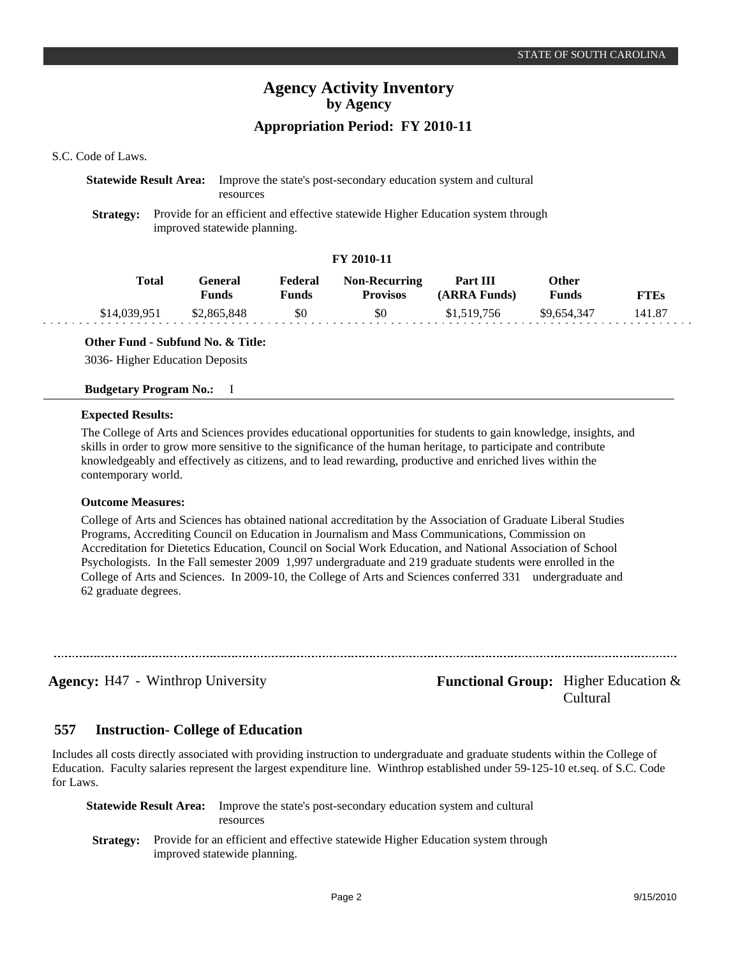## S.C. Code of Laws.

## **Statewide Result Area:** Improve the state's post-secondary education system and cultural resources

**Strategy:** Provide for an efficient and effective statewide Higher Education system through improved statewide planning.

## **FY 2010-11**

| Total        | General<br>Funds | Federal<br>Funds | <b>Non-Recurring</b><br><b>Provisos</b> | Part III<br>(ARRA Funds) | Other<br>Funds | <b>FTEs</b> |
|--------------|------------------|------------------|-----------------------------------------|--------------------------|----------------|-------------|
| \$14,039,951 | \$2,865,848      | \$0              | \$0                                     | \$1,519,756              | \$9.654.347    | 141.87      |

**Other Fund - Subfund No. & Title:**

3036- Higher Education Deposits

## **Budgetary Program No.:** I

## **Expected Results:**

The College of Arts and Sciences provides educational opportunities for students to gain knowledge, insights, and skills in order to grow more sensitive to the significance of the human heritage, to participate and contribute knowledgeably and effectively as citizens, and to lead rewarding, productive and enriched lives within the contemporary world.

### **Outcome Measures:**

College of Arts and Sciences has obtained national accreditation by the Association of Graduate Liberal Studies Programs, Accrediting Council on Education in Journalism and Mass Communications, Commission on Accreditation for Dietetics Education, Council on Social Work Education, and National Association of School Psychologists. In the Fall semester 2009 1,997 undergraduate and 219 graduate students were enrolled in the College of Arts and Sciences. In 2009-10, the College of Arts and Sciences conferred 331 undergraduate and 62 graduate degrees.

**Agency:** H47 - Winthrop University **Functional Group:** Higher Education & Cultural

#### **Instruction- College of Education 557**

Includes all costs directly associated with providing instruction to undergraduate and graduate students within the College of Education. Faculty salaries represent the largest expenditure line. Winthrop established under 59-125-10 et.seq. of S.C. Code for Laws.

| Statewide Result Area: | Improve the state's post-secondary education system and cultural<br>resources                                                     |
|------------------------|-----------------------------------------------------------------------------------------------------------------------------------|
|                        | <b>Strategy:</b> Provide for an efficient and effective statewide Higher Education system through<br>improved statewide planning. |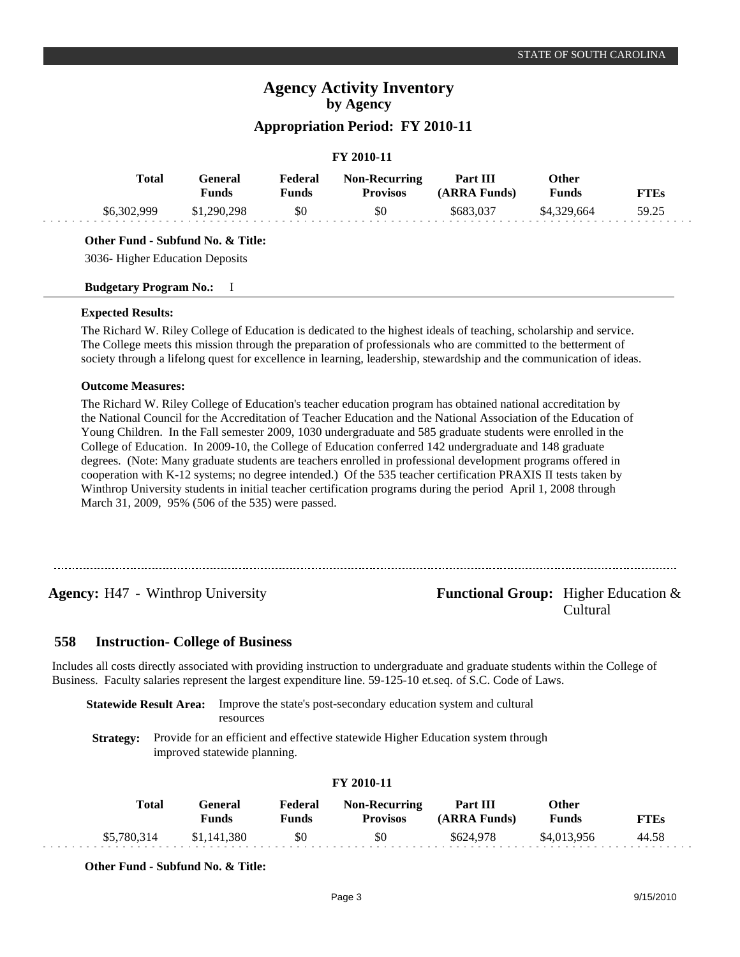# **Appropriation Period: FY 2010-11**

## **FY 2010-11**

| <b>Total</b> | General<br>Funds | Federal<br>Funds | <b>Non-Recurring</b><br><b>Provisos</b> | Part III<br>(ARRA Funds) | Other<br><b>Funds</b> | <b>FTEs</b> |
|--------------|------------------|------------------|-----------------------------------------|--------------------------|-----------------------|-------------|
| \$6,302,999  | \$1,290,298      | \$0              | \$0                                     | \$683,037                | \$4.329.664           | 59.25       |

## **Other Fund - Subfund No. & Title:**

3036- Higher Education Deposits

## **Budgetary Program No.:** I

## **Expected Results:**

The Richard W. Riley College of Education is dedicated to the highest ideals of teaching, scholarship and service. The College meets this mission through the preparation of professionals who are committed to the betterment of society through a lifelong quest for excellence in learning, leadership, stewardship and the communication of ideas.

## **Outcome Measures:**

The Richard W. Riley College of Education's teacher education program has obtained national accreditation by the National Council for the Accreditation of Teacher Education and the National Association of the Education of Young Children. In the Fall semester 2009, 1030 undergraduate and 585 graduate students were enrolled in the College of Education. In 2009-10, the College of Education conferred 142 undergraduate and 148 graduate degrees. (Note: Many graduate students are teachers enrolled in professional development programs offered in cooperation with K-12 systems; no degree intended.) Of the 535 teacher certification PRAXIS II tests taken by Winthrop University students in initial teacher certification programs during the period April 1, 2008 through March 31, 2009, 95% (506 of the 535) were passed.

## **Agency:** H47 - Winthrop University **- Agency: Functional Group:** Higher Education & Cultural

#### **Instruction- College of Business 558**

Includes all costs directly associated with providing instruction to undergraduate and graduate students within the College of Business. Faculty salaries represent the largest expenditure line. 59-125-10 et.seq. of S.C. Code of Laws.

**Statewide Result Area:** Improve the state's post-secondary education system and cultural resources

**Strategy:** Provide for an efficient and effective statewide Higher Education system through improved statewide planning.

| Total       | <b>General</b><br>Funds | Federal<br><b>Funds</b> | <b>Non-Recurring</b><br><b>Provisos</b> | Part III<br>(ARRA Funds) | Other<br><b>Funds</b> | <b>FTEs</b> |
|-------------|-------------------------|-------------------------|-----------------------------------------|--------------------------|-----------------------|-------------|
| \$5,780,314 | \$1,141,380             | \$0                     | \$0                                     | \$624.978                | \$4.013.956           | 44.58       |

## **FY 2010-11**

**Other Fund - Subfund No. & Title:**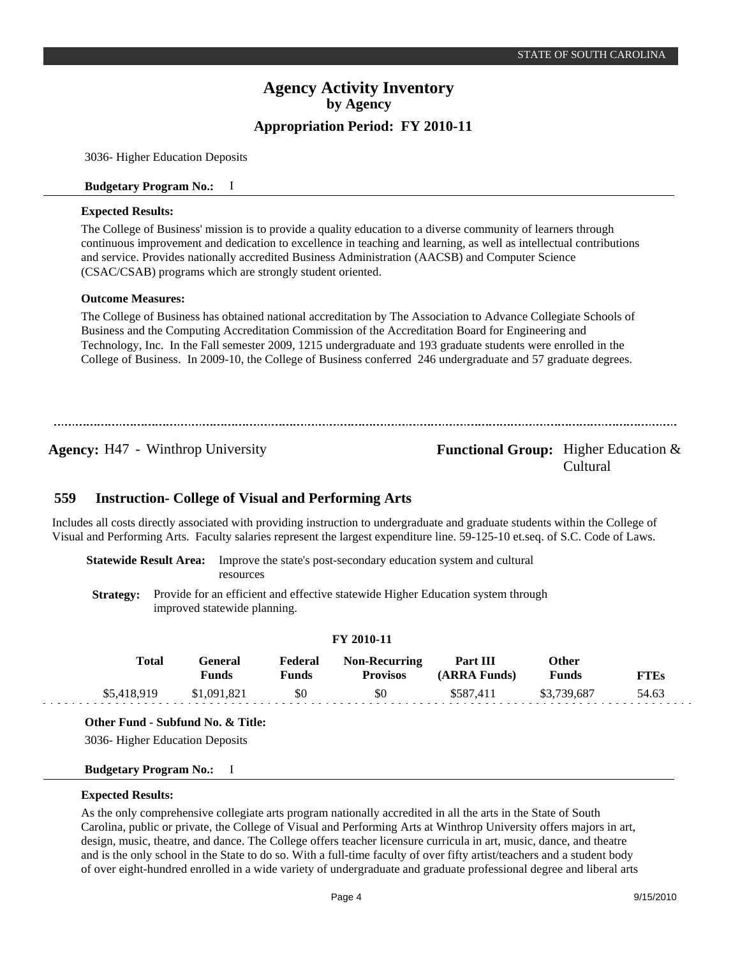3036- Higher Education Deposits

## **Budgetary Program No.:** I

## **Expected Results:**

The College of Business' mission is to provide a quality education to a diverse community of learners through continuous improvement and dedication to excellence in teaching and learning, as well as intellectual contributions and service. Provides nationally accredited Business Administration (AACSB) and Computer Science (CSAC/CSAB) programs which are strongly student oriented.

## **Outcome Measures:**

The College of Business has obtained national accreditation by The Association to Advance Collegiate Schools of Business and the Computing Accreditation Commission of the Accreditation Board for Engineering and Technology, Inc. In the Fall semester 2009, 1215 undergraduate and 193 graduate students were enrolled in the College of Business. In 2009-10, the College of Business conferred 246 undergraduate and 57 graduate degrees.

## **Agency:** H47 - Winthrop University **- Agency: Functional Group:** Higher Education & Cultural

#### **Instruction- College of Visual and Performing Arts 559**

Includes all costs directly associated with providing instruction to undergraduate and graduate students within the College of Visual and Performing Arts. Faculty salaries represent the largest expenditure line. 59-125-10 et.seq. of S.C. Code of Laws.

**Statewide Result Area:** Improve the state's post-secondary education system and cultural resources

**Strategy:** Provide for an efficient and effective statewide Higher Education system through improved statewide planning.

## **FY 2010-11**

| Total       | General)<br>Funds | Federal<br><b>Funds</b> | <b>Non-Recurring</b><br><b>Provisos</b> | Part III<br>(ARRA Funds) | Other<br><b>Funds</b> | <b>FTEs</b> |
|-------------|-------------------|-------------------------|-----------------------------------------|--------------------------|-----------------------|-------------|
| \$5,418,919 | \$1,091,821       | \$0                     | \$0                                     | \$587.411                | \$3,739,687           | 54.63       |

**Other Fund - Subfund No. & Title:**

3036- Higher Education Deposits

### **Budgetary Program No.:** I

## **Expected Results:**

As the only comprehensive collegiate arts program nationally accredited in all the arts in the State of South Carolina, public or private, the College of Visual and Performing Arts at Winthrop University offers majors in art, design, music, theatre, and dance. The College offers teacher licensure curricula in art, music, dance, and theatre and is the only school in the State to do so. With a full-time faculty of over fifty artist/teachers and a student body of over eight-hundred enrolled in a wide variety of undergraduate and graduate professional degree and liberal arts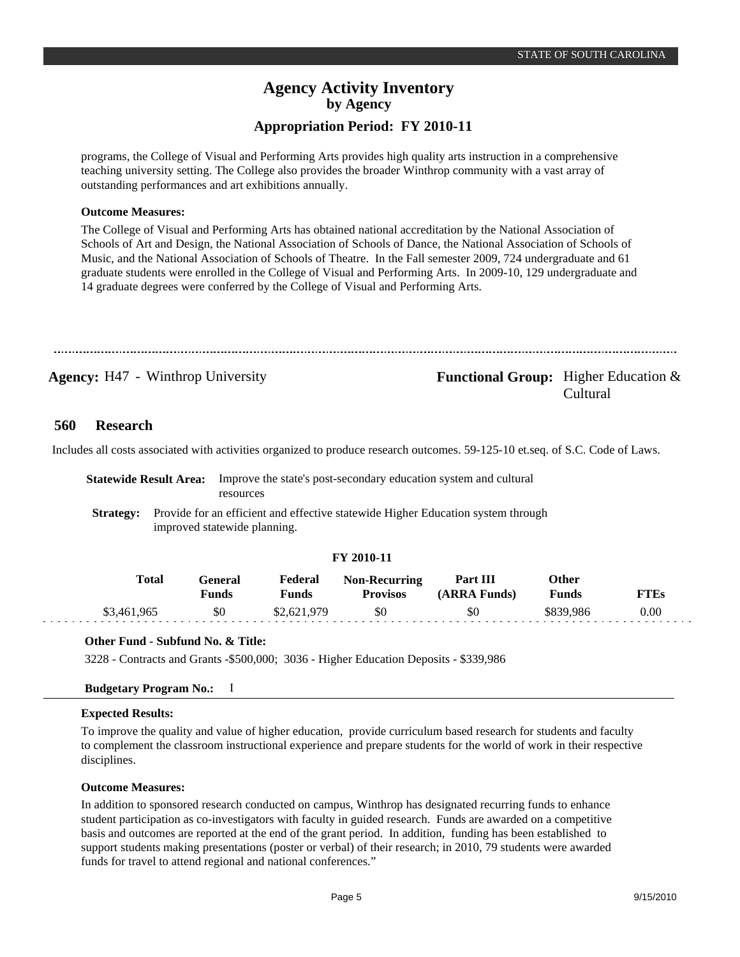programs, the College of Visual and Performing Arts provides high quality arts instruction in a comprehensive teaching university setting. The College also provides the broader Winthrop community with a vast array of outstanding performances and art exhibitions annually.

## **Outcome Measures:**

The College of Visual and Performing Arts has obtained national accreditation by the National Association of Schools of Art and Design, the National Association of Schools of Dance, the National Association of Schools of Music, and the National Association of Schools of Theatre. In the Fall semester 2009, 724 undergraduate and 61 graduate students were enrolled in the College of Visual and Performing Arts. In 2009-10, 129 undergraduate and 14 graduate degrees were conferred by the College of Visual and Performing Arts.

**Agency:** H47 - Winthrop University **- Agency: Functional Group:** Higher Education & Cultural

#### **Research 560**

Includes all costs associated with activities organized to produce research outcomes. 59-125-10 et.seq. of S.C. Code of Laws.

|  |  | <b>Statewide Result Area:</b> Improve the state's post-secondary education system and cultural    |  |  |  |
|--|--|---------------------------------------------------------------------------------------------------|--|--|--|
|  |  | resources                                                                                         |  |  |  |
|  |  | <b>Strategy:</b> Provide for an efficient and effective statewide Higher Education system through |  |  |  |

improved statewide planning.

## **FY 2010-11**

| Total       | General<br>Funds | Federal<br><sup>7</sup> unds | <b>Non-Recurring</b><br><b>Provisos</b> | Part III<br>(ARRA Funds) | Other<br><b>Funds</b> | FTEs |
|-------------|------------------|------------------------------|-----------------------------------------|--------------------------|-----------------------|------|
| \$3,461,965 | \$0              | \$2,621,979                  | SO.                                     | \$0                      | \$839.986             | 0.00 |

### **Other Fund - Subfund No. & Title:**

3228 - Contracts and Grants -\$500,000; 3036 - Higher Education Deposits - \$339,986

### **Budgetary Program No.:** I

### **Expected Results:**

To improve the quality and value of higher education, provide curriculum based research for students and faculty to complement the classroom instructional experience and prepare students for the world of work in their respective disciplines.

### **Outcome Measures:**

In addition to sponsored research conducted on campus, Winthrop has designated recurring funds to enhance student participation as co-investigators with faculty in guided research. Funds are awarded on a competitive basis and outcomes are reported at the end of the grant period. In addition, funding has been established to support students making presentations (poster or verbal) of their research; in 2010, 79 students were awarded funds for travel to attend regional and national conferences."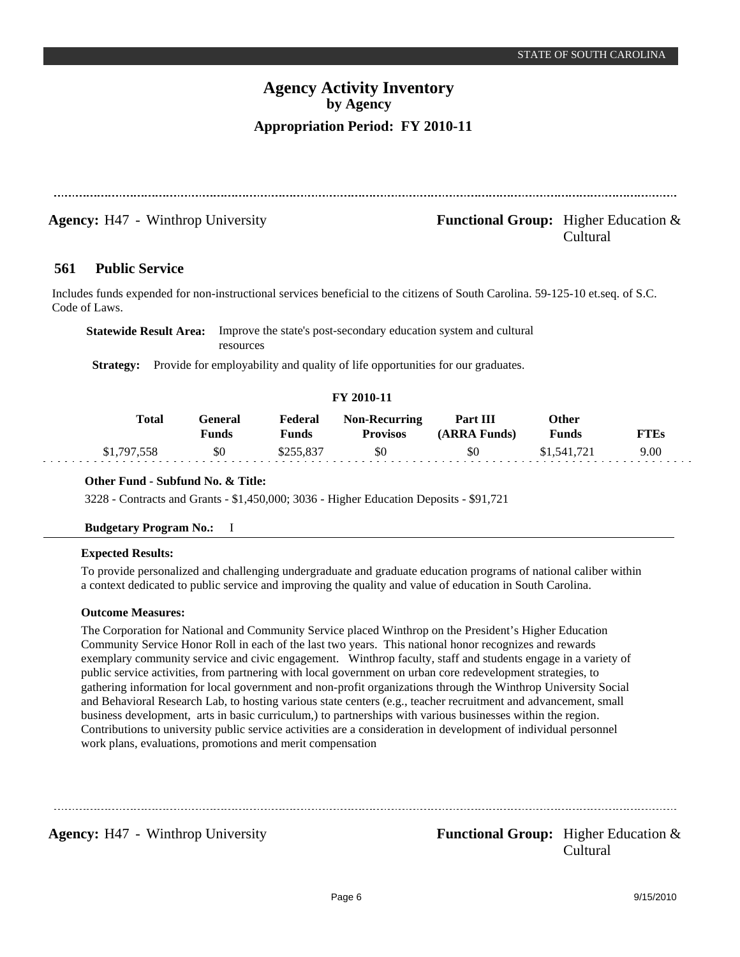Cultural

# **Agency Activity Inventory by Agency Appropriation Period: FY 2010-11**

**Agency:** H47 - Winthrop University **- Agency: Functional Group:** Higher Education &

#### **Public Service 561**

Includes funds expended for non-instructional services beneficial to the citizens of South Carolina. 59-125-10 et.seq. of S.C. Code of Laws.

| <b>Statewide Result Area:</b> Improve the state's post-secondary education system and cultural |
|------------------------------------------------------------------------------------------------|
| resources                                                                                      |

**Strategy:** Provide for employability and quality of life opportunities for our graduates.

## **FY 2010-11**

| <b>Total</b> | General<br><b>Funds</b> | Federal<br>Funds | <b>Non-Recurring</b><br><b>Provisos</b> | <b>Part III</b><br>(ARRA Funds) | Other<br><b>Funds</b> | <b>FTEs</b> |
|--------------|-------------------------|------------------|-----------------------------------------|---------------------------------|-----------------------|-------------|
| \$1,797,558  | \$0                     | \$255,837        | \$0                                     | \$0                             | \$1,541,721           | 9.00        |

## **Other Fund - Subfund No. & Title:**

3228 - Contracts and Grants - \$1,450,000; 3036 - Higher Education Deposits - \$91,721

## **Budgetary Program No.:** I

## **Expected Results:**

To provide personalized and challenging undergraduate and graduate education programs of national caliber within a context dedicated to public service and improving the quality and value of education in South Carolina.

## **Outcome Measures:**

The Corporation for National and Community Service placed Winthrop on the President's Higher Education Community Service Honor Roll in each of the last two years. This national honor recognizes and rewards exemplary community service and civic engagement. Winthrop faculty, staff and students engage in a variety of public service activities, from partnering with local government on urban core redevelopment strategies, to gathering information for local government and non-profit organizations through the Winthrop University Social and Behavioral Research Lab, to hosting various state centers (e.g., teacher recruitment and advancement, small business development, arts in basic curriculum,) to partnerships with various businesses within the region. Contributions to university public service activities are a consideration in development of individual personnel work plans, evaluations, promotions and merit compensation

**Agency:** H47 - Winthrop University **- Agency: Functional Group:** Higher Education & Cultural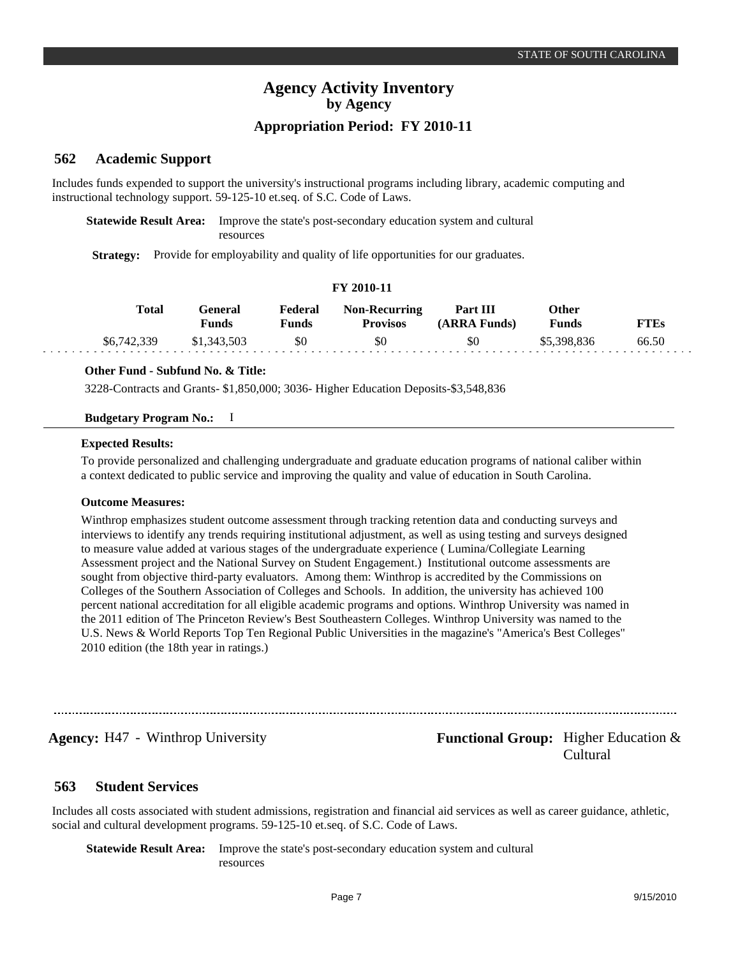#### **Academic Support 562**

Includes funds expended to support the university's instructional programs including library, academic computing and instructional technology support. 59-125-10 et.seq. of S.C. Code of Laws.

**Statewide Result Area:** Improve the state's post-secondary education system and cultural resources

**Strategy:** Provide for employability and quality of life opportunities for our graduates.

## **FY 2010-11**

| Total       | General<br>Funds | Federal<br>Funds | <b>Non-Recurring</b><br><b>Provisos</b> | <b>Part III</b><br>(ARRA Funds) | Other<br><b>Funds</b> | <b>FTEs</b> |
|-------------|------------------|------------------|-----------------------------------------|---------------------------------|-----------------------|-------------|
| \$6,742,339 | \$1,343,503      | \$0              | \$0                                     | \$0                             | \$5,398,836           | 66.50       |

## **Other Fund - Subfund No. & Title:**

3228-Contracts and Grants- \$1,850,000; 3036- Higher Education Deposits-\$3,548,836

## **Budgetary Program No.:** I

## **Expected Results:**

To provide personalized and challenging undergraduate and graduate education programs of national caliber within a context dedicated to public service and improving the quality and value of education in South Carolina.

### **Outcome Measures:**

Winthrop emphasizes student outcome assessment through tracking retention data and conducting surveys and interviews to identify any trends requiring institutional adjustment, as well as using testing and surveys designed to measure value added at various stages of the undergraduate experience ( Lumina/Collegiate Learning Assessment project and the National Survey on Student Engagement.) Institutional outcome assessments are sought from objective third-party evaluators. Among them: Winthrop is accredited by the Commissions on Colleges of the Southern Association of Colleges and Schools. In addition, the university has achieved 100 percent national accreditation for all eligible academic programs and options. Winthrop University was named in the 2011 edition of The Princeton Review's Best Southeastern Colleges. Winthrop University was named to the U.S. News & World Reports Top Ten Regional Public Universities in the magazine's "America's Best Colleges" 2010 edition (the 18th year in ratings.)

**Agency:** H47 - Winthrop University **- Agency: Functional Group:** Higher Education & Cultural

#### **Student Services 563**

Includes all costs associated with student admissions, registration and financial aid services as well as career guidance, athletic, social and cultural development programs. 59-125-10 et.seq. of S.C. Code of Laws.

**Statewide Result Area:** Improve the state's post-secondary education system and cultural resources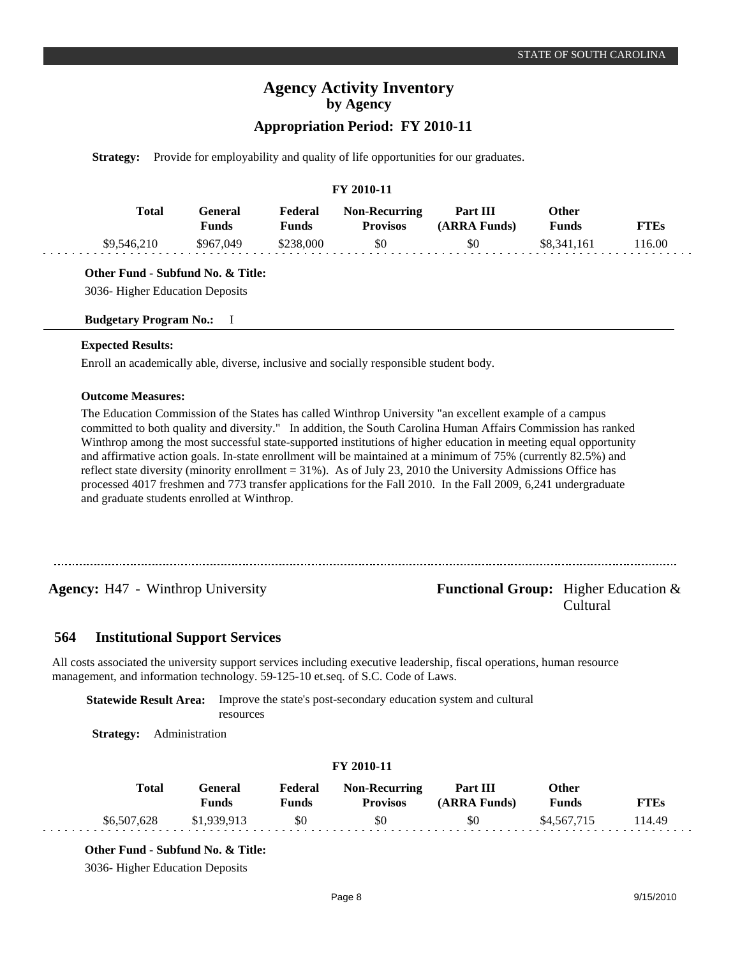## **Appropriation Period: FY 2010-11**

**Strategy:** Provide for employability and quality of life opportunities for our graduates.

## **FY 2010-11**

| Total       | General<br><b>Funds</b> | Federal<br>Funds | <b>Non-Recurring</b><br><b>Provisos</b> | Part III<br>(ARRA Funds) | Other<br>Funds | <b>FTEs</b> |
|-------------|-------------------------|------------------|-----------------------------------------|--------------------------|----------------|-------------|
| \$9,546,210 | \$967,049               | \$238,000        | \$0                                     | \$0                      | \$8.341.161    | 116.00      |

## **Other Fund - Subfund No. & Title:**

3036- Higher Education Deposits

### **Budgetary Program No.:** I

### **Expected Results:**

Enroll an academically able, diverse, inclusive and socially responsible student body.

### **Outcome Measures:**

The Education Commission of the States has called Winthrop University "an excellent example of a campus committed to both quality and diversity." In addition, the South Carolina Human Affairs Commission has ranked Winthrop among the most successful state-supported institutions of higher education in meeting equal opportunity and affirmative action goals. In-state enrollment will be maintained at a minimum of 75% (currently 82.5%) and reflect state diversity (minority enrollment = 31%). As of July 23, 2010 the University Admissions Office has processed 4017 freshmen and 773 transfer applications for the Fall 2010. In the Fall 2009, 6,241 undergraduate and graduate students enrolled at Winthrop.

## **Agency:** H47 - Winthrop University **- Agency: Functional Group:** Higher Education & Cultural

#### **Institutional Support Services 564**

All costs associated the university support services including executive leadership, fiscal operations, human resource management, and information technology. 59-125-10 et.seq. of S.C. Code of Laws.

**Statewide Result Area:** Improve the state's post-secondary education system and cultural

resources

**Strategy:** Administration

| <b>Total</b> | General<br>Funds | Federal<br>Funds | <b>Non-Recurring</b><br><b>Provisos</b> | Part III<br>(ARRA Funds) | Other<br><b>Funds</b> | FTEs  |
|--------------|------------------|------------------|-----------------------------------------|--------------------------|-----------------------|-------|
| \$6,507,628  | \$1,939,913      | \$0              | \$0                                     | \$0                      | \$4,567,715           | 14.49 |

**FY 2010-11**

## **Other Fund - Subfund No. & Title:**

3036- Higher Education Deposits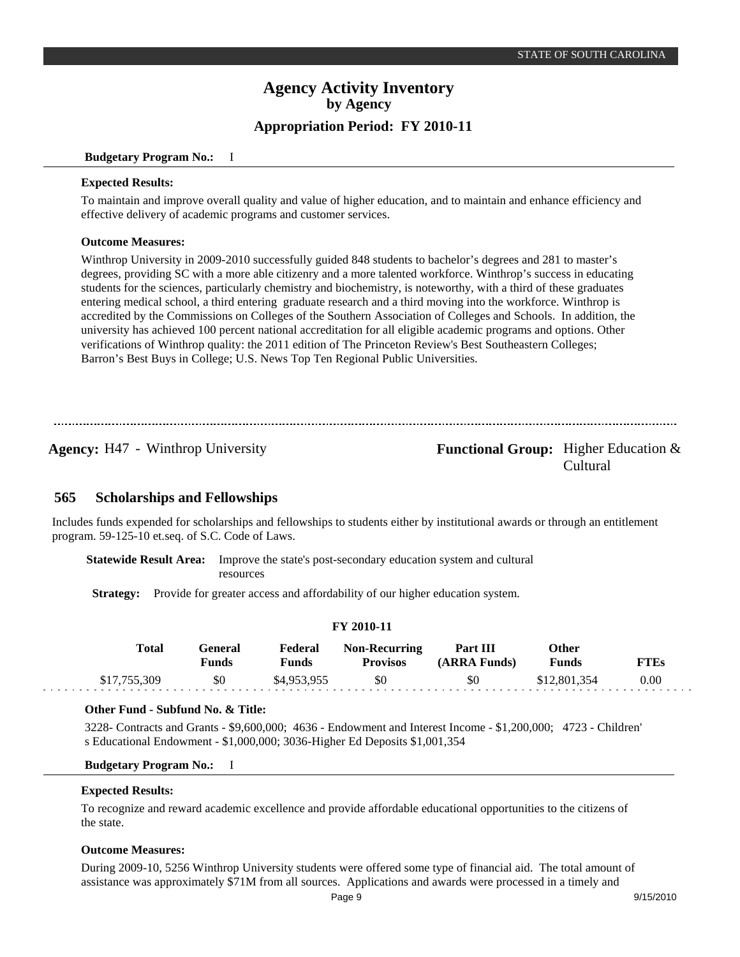### **Budgetary Program No.:** I

## **Expected Results:**

To maintain and improve overall quality and value of higher education, and to maintain and enhance efficiency and effective delivery of academic programs and customer services.

## **Outcome Measures:**

Winthrop University in 2009-2010 successfully guided 848 students to bachelor's degrees and 281 to master's degrees, providing SC with a more able citizenry and a more talented workforce. Winthrop's success in educating students for the sciences, particularly chemistry and biochemistry, is noteworthy, with a third of these graduates entering medical school, a third entering graduate research and a third moving into the workforce. Winthrop is accredited by the Commissions on Colleges of the Southern Association of Colleges and Schools. In addition, the university has achieved 100 percent national accreditation for all eligible academic programs and options. Other verifications of Winthrop quality: the 2011 edition of The Princeton Review's Best Southeastern Colleges; Barron's Best Buys in College; U.S. News Top Ten Regional Public Universities.

## **Agency:** H47 - Winthrop University **- Agency: Functional Group:** Higher Education & Cultural

#### **Scholarships and Fellowships 565**

Includes funds expended for scholarships and fellowships to students either by institutional awards or through an entitlement program. 59-125-10 et.seq. of S.C. Code of Laws.

**Statewide Result Area:** Improve the state's post-secondary education system and cultural resources

**Strategy:** Provide for greater access and affordability of our higher education system.

| I 1 2010-11  |                  |                  |                                         |                          |                       |             |  |
|--------------|------------------|------------------|-----------------------------------------|--------------------------|-----------------------|-------------|--|
| Total        | General<br>Funds | Federal<br>Funds | <b>Non-Recurring</b><br><b>Provisos</b> | Part III<br>(ARRA Funds) | Other<br><b>Funds</b> | <b>FTEs</b> |  |
| \$17,755,309 | \$0              | \$4,953,955      | \$0                                     | \$0                      | \$12,801,354          | 0.00        |  |

**FY 2010-11**

## **Other Fund - Subfund No. & Title:**

3228- Contracts and Grants - \$9,600,000; 4636 - Endowment and Interest Income - \$1,200,000; 4723 - Children' s Educational Endowment - \$1,000,000; 3036-Higher Ed Deposits \$1,001,354

## **Budgetary Program No.:** I

## **Expected Results:**

To recognize and reward academic excellence and provide affordable educational opportunities to the citizens of the state.

## **Outcome Measures:**

During 2009-10, 5256 Winthrop University students were offered some type of financial aid. The total amount of assistance was approximately \$71M from all sources. Applications and awards were processed in a timely and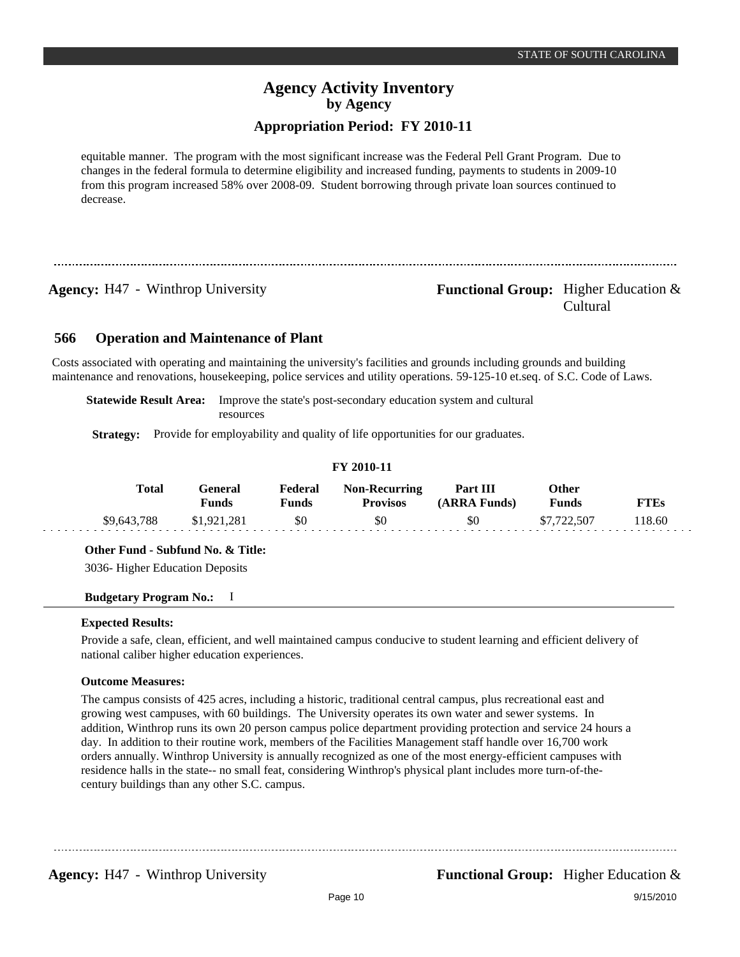## **Appropriation Period: FY 2010-11**

equitable manner. The program with the most significant increase was the Federal Pell Grant Program. Due to changes in the federal formula to determine eligibility and increased funding, payments to students in 2009-10 from this program increased 58% over 2008-09. Student borrowing through private loan sources continued to decrease.

## **Agency:** H47 - Winthrop University **- Agency: Functional Group:** Higher Education & Cultural

#### **Operation and Maintenance of Plant 566**

Costs associated with operating and maintaining the university's facilities and grounds including grounds and building maintenance and renovations, housekeeping, police services and utility operations. 59-125-10 et.seq. of S.C. Code of Laws.

**Statewide Result Area:** Improve the state's post-secondary education system and cultural resources

**Strategy:** Provide for employability and quality of life opportunities for our graduates.

| -------     |                         |                         |                                         |                          |                       |             |  |
|-------------|-------------------------|-------------------------|-----------------------------------------|--------------------------|-----------------------|-------------|--|
| Total       | General<br><b>Funds</b> | Federal<br><b>Funds</b> | <b>Non-Recurring</b><br><b>Provisos</b> | Part III<br>(ARRA Funds) | Other<br><b>Funds</b> | <b>FTEs</b> |  |
| \$9,643,788 | \$1,921,281             | \$0                     | \$0                                     | \$0                      | \$7,722,507           | 118.60      |  |

**FY 2010-11**

## **Other Fund - Subfund No. & Title:**

3036- Higher Education Deposits

## **Budgetary Program No.:** I

### **Expected Results:**

Provide a safe, clean, efficient, and well maintained campus conducive to student learning and efficient delivery of national caliber higher education experiences.

## **Outcome Measures:**

The campus consists of 425 acres, including a historic, traditional central campus, plus recreational east and growing west campuses, with 60 buildings. The University operates its own water and sewer systems. In addition, Winthrop runs its own 20 person campus police department providing protection and service 24 hours a day. In addition to their routine work, members of the Facilities Management staff handle over 16,700 work orders annually. Winthrop University is annually recognized as one of the most energy-efficient campuses with residence halls in the state-- no small feat, considering Winthrop's physical plant includes more turn-of-thecentury buildings than any other S.C. campus.

**Agency:** H47 - Winthrop University **Functional Group:** Higher Education &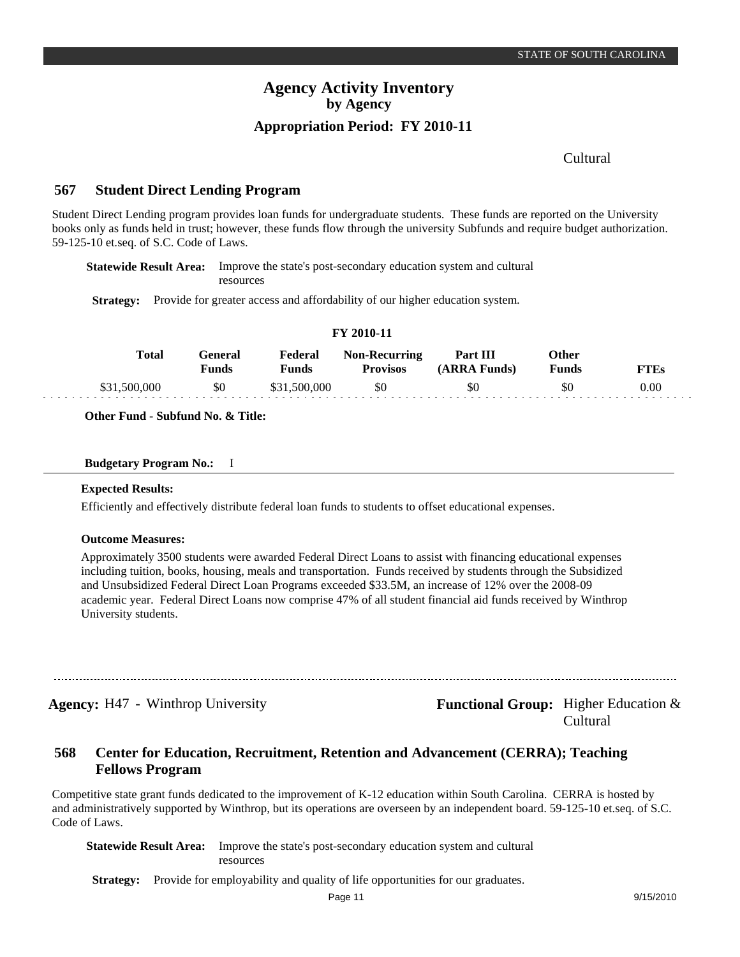Cultural

#### **Student Direct Lending Program 567**

Student Direct Lending program provides loan funds for undergraduate students. These funds are reported on the University books only as funds held in trust; however, these funds flow through the university Subfunds and require budget authorization. 59-125-10 et.seq. of S.C. Code of Laws.

**Statewide Result Area:** Improve the state's post-secondary education system and cultural resources

**Strategy:** Provide for greater access and affordability of our higher education system.

| <b>Total</b> | General<br>Funds | Federal<br>Funds | <b>Non-Recurring</b><br><b>Provisos</b> | <b>Part III</b><br>(ARRA Funds) | Other<br><b>Funds</b> | <b>FTEs</b> |  |
|--------------|------------------|------------------|-----------------------------------------|---------------------------------|-----------------------|-------------|--|
| \$31,500,000 | \$0              | \$31,500,000     | \$0                                     | \$0                             | \$0                   | 0.00        |  |

**FY 2010-11**

**Other Fund - Subfund No. & Title:**

### **Budgetary Program No.:** I

#### **Expected Results:**

Efficiently and effectively distribute federal loan funds to students to offset educational expenses.

## **Outcome Measures:**

Approximately 3500 students were awarded Federal Direct Loans to assist with financing educational expenses including tuition, books, housing, meals and transportation. Funds received by students through the Subsidized and Unsubsidized Federal Direct Loan Programs exceeded \$33.5M, an increase of 12% over the 2008-09 academic year. Federal Direct Loans now comprise 47% of all student financial aid funds received by Winthrop University students.

**Agency:** H47 - Winthrop University **- Agency: Functional Group:** Higher Education & Cultural

#### **Center for Education, Recruitment, Retention and Advancement (CERRA); Teaching Fellows Program 568**

Competitive state grant funds dedicated to the improvement of K-12 education within South Carolina. CERRA is hosted by and administratively supported by Winthrop, but its operations are overseen by an independent board. 59-125-10 et.seq. of S.C. Code of Laws.

**Statewide Result Area:** Improve the state's post-secondary education system and cultural resources

**Strategy:** Provide for employability and quality of life opportunities for our graduates.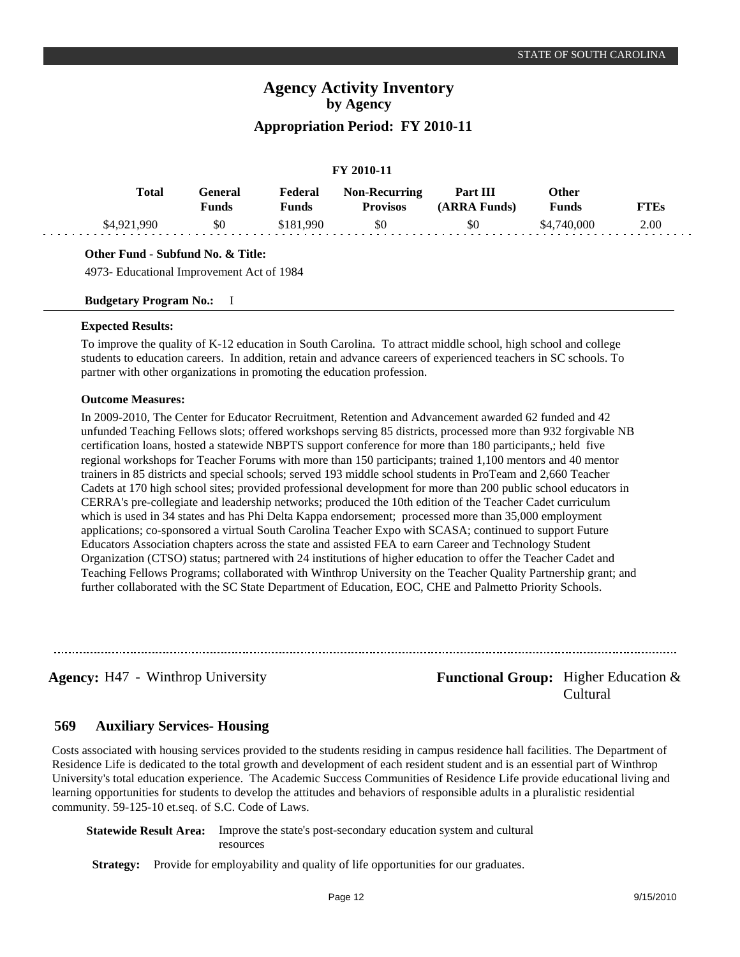## **FY 2010-11**

| Total       | General)<br>Funds | Federal<br><b>Funds</b> | <b>Non-Recurring</b><br><b>Provisos</b> | Part III<br>(ARRA Funds) | Other<br>Funds | <b>FTEs</b> |
|-------------|-------------------|-------------------------|-----------------------------------------|--------------------------|----------------|-------------|
| \$4,921,990 | \$0               | \$181.990               | \$0                                     | \$0                      | \$4,740,000    | 2.00        |

## **Other Fund - Subfund No. & Title:**

4973- Educational Improvement Act of 1984

## **Budgetary Program No.:** I

### **Expected Results:**

To improve the quality of K-12 education in South Carolina. To attract middle school, high school and college students to education careers. In addition, retain and advance careers of experienced teachers in SC schools. To partner with other organizations in promoting the education profession.

## **Outcome Measures:**

In 2009-2010, The Center for Educator Recruitment, Retention and Advancement awarded 62 funded and 42 unfunded Teaching Fellows slots; offered workshops serving 85 districts, processed more than 932 forgivable NB certification loans, hosted a statewide NBPTS support conference for more than 180 participants,; held five regional workshops for Teacher Forums with more than 150 participants; trained 1,100 mentors and 40 mentor trainers in 85 districts and special schools; served 193 middle school students in ProTeam and 2,660 Teacher Cadets at 170 high school sites; provided professional development for more than 200 public school educators in CERRA's pre-collegiate and leadership networks; produced the 10th edition of the Teacher Cadet curriculum which is used in 34 states and has Phi Delta Kappa endorsement; processed more than 35,000 employment applications; co-sponsored a virtual South Carolina Teacher Expo with SCASA; continued to support Future Educators Association chapters across the state and assisted FEA to earn Career and Technology Student Organization (CTSO) status; partnered with 24 institutions of higher education to offer the Teacher Cadet and Teaching Fellows Programs; collaborated with Winthrop University on the Teacher Quality Partnership grant; and further collaborated with the SC State Department of Education, EOC, CHE and Palmetto Priority Schools.

**Agency:** H47 - Winthrop University **- Functional Group:** Higher Education & Cultural

#### **Auxiliary Services- Housing 569**

Costs associated with housing services provided to the students residing in campus residence hall facilities. The Department of Residence Life is dedicated to the total growth and development of each resident student and is an essential part of Winthrop University's total education experience. The Academic Success Communities of Residence Life provide educational living and learning opportunities for students to develop the attitudes and behaviors of responsible adults in a pluralistic residential community. 59-125-10 et.seq. of S.C. Code of Laws.

**Statewide Result Area:** Improve the state's post-secondary education system and cultural resources

**Strategy:** Provide for employability and quality of life opportunities for our graduates.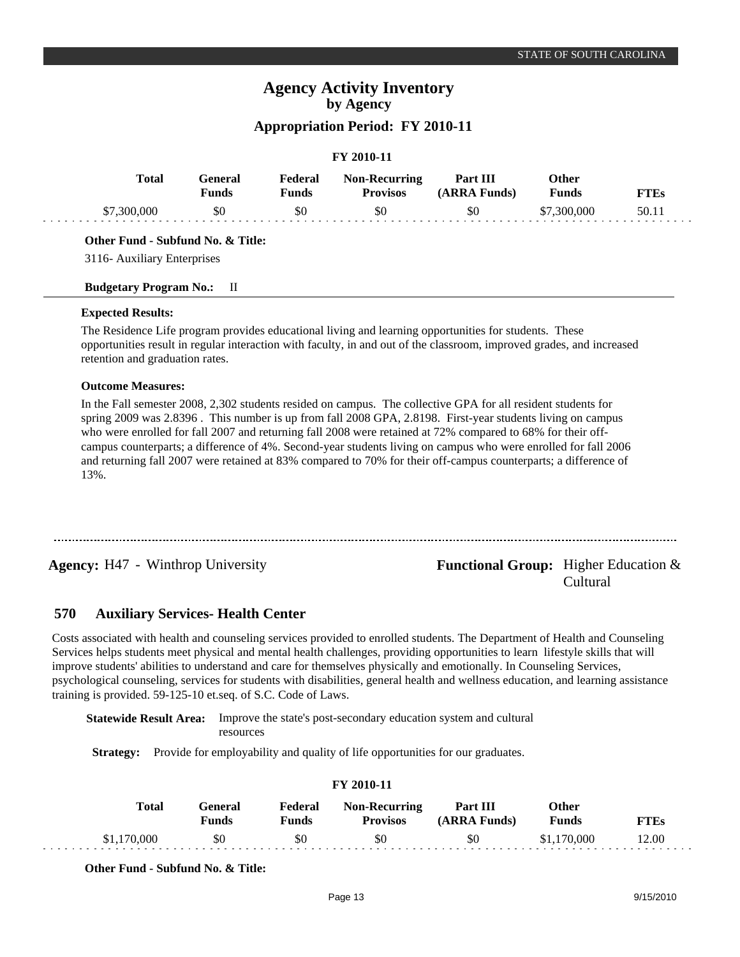## **Appropriation Period: FY 2010-11**

## **FY 2010-11**

| Total       | General<br><b>Funds</b> | Federal<br><b>Funds</b> | <b>Non-Recurring</b><br><b>Provisos</b> | Part III<br>(ARRA Funds) | Other<br><b>Funds</b> | <b>FTEs</b> |
|-------------|-------------------------|-------------------------|-----------------------------------------|--------------------------|-----------------------|-------------|
| \$7,300,000 | \$0                     | \$0                     | \$0                                     | \$0                      | \$7,300,000           | 50.11       |

## **Other Fund - Subfund No. & Title:**

3116- Auxiliary Enterprises

## **Budgetary Program No.:** II

## **Expected Results:**

The Residence Life program provides educational living and learning opportunities for students. These opportunities result in regular interaction with faculty, in and out of the classroom, improved grades, and increased retention and graduation rates.

## **Outcome Measures:**

In the Fall semester 2008, 2,302 students resided on campus. The collective GPA for all resident students for spring 2009 was 2.8396 . This number is up from fall 2008 GPA, 2.8198. First-year students living on campus who were enrolled for fall 2007 and returning fall 2008 were retained at 72% compared to 68% for their offcampus counterparts; a difference of 4%. Second-year students living on campus who were enrolled for fall 2006 and returning fall 2007 were retained at 83% compared to 70% for their off-campus counterparts; a difference of 13%.

## **Agency:** H47 - Winthrop University **- Agency: Functional Group:** Higher Education & Cultural

#### **Auxiliary Services- Health Center 570**

Costs associated with health and counseling services provided to enrolled students. The Department of Health and Counseling Services helps students meet physical and mental health challenges, providing opportunities to learn lifestyle skills that will improve students' abilities to understand and care for themselves physically and emotionally. In Counseling Services, psychological counseling, services for students with disabilities, general health and wellness education, and learning assistance training is provided. 59-125-10 et.seq. of S.C. Code of Laws.

**Statewide Result Area:** Improve the state's post-secondary education system and cultural resources

**Strategy:** Provide for employability and quality of life opportunities for our graduates.

| <b>FI 2010-11</b> |                  |                  |                                         |                          |                       |             |  |
|-------------------|------------------|------------------|-----------------------------------------|--------------------------|-----------------------|-------------|--|
| Total             | General<br>Funds | Federal<br>Funds | <b>Non-Recurring</b><br><b>Provisos</b> | Part III<br>(ARRA Funds) | <b>Other</b><br>Funds | <b>FTEs</b> |  |
| \$1,170,000       | \$0              | \$0              | \$0                                     | \$0                      | \$1,170,000           | 12.00       |  |

**FY 2010-11**

**Other Fund - Subfund No. & Title:**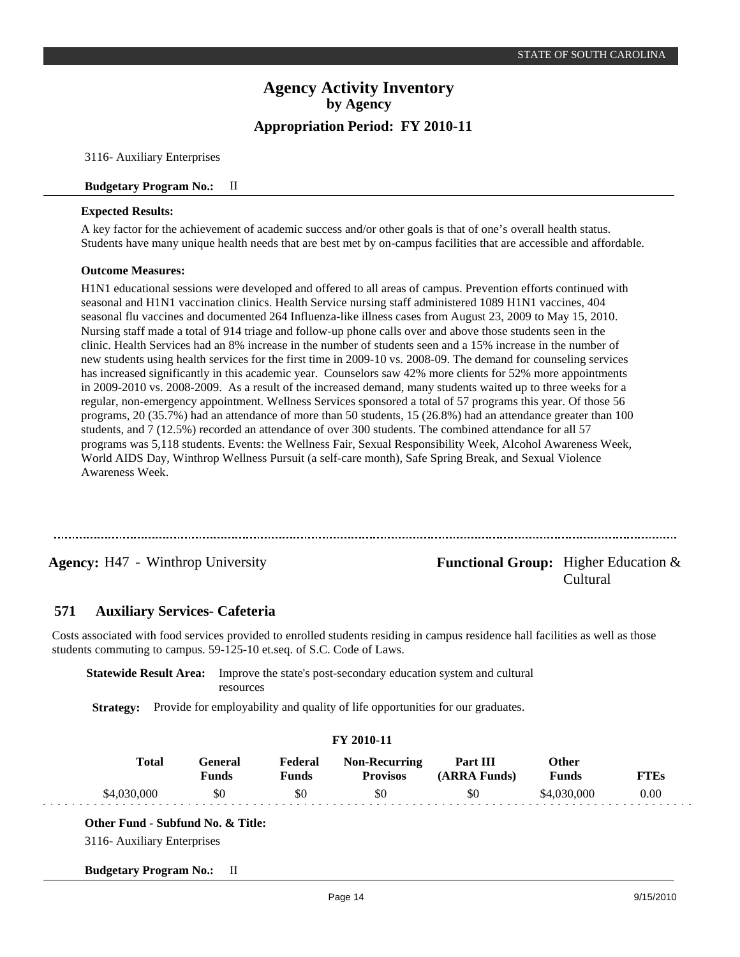3116- Auxiliary Enterprises

## **Budgetary Program No.:** II

## **Expected Results:**

A key factor for the achievement of academic success and/or other goals is that of one's overall health status. Students have many unique health needs that are best met by on-campus facilities that are accessible and affordable.

## **Outcome Measures:**

H1N1 educational sessions were developed and offered to all areas of campus. Prevention efforts continued with seasonal and H1N1 vaccination clinics. Health Service nursing staff administered 1089 H1N1 vaccines, 404 seasonal flu vaccines and documented 264 Influenza-like illness cases from August 23, 2009 to May 15, 2010. Nursing staff made a total of 914 triage and follow-up phone calls over and above those students seen in the clinic. Health Services had an 8% increase in the number of students seen and a 15% increase in the number of new students using health services for the first time in 2009-10 vs. 2008-09. The demand for counseling services has increased significantly in this academic year. Counselors saw 42% more clients for 52% more appointments in 2009-2010 vs. 2008-2009. As a result of the increased demand, many students waited up to three weeks for a regular, non-emergency appointment. Wellness Services sponsored a total of 57 programs this year. Of those 56 programs, 20 (35.7%) had an attendance of more than 50 students, 15 (26.8%) had an attendance greater than 100 students, and 7 (12.5%) recorded an attendance of over 300 students. The combined attendance for all 57 programs was 5,118 students. Events: the Wellness Fair, Sexual Responsibility Week, Alcohol Awareness Week, World AIDS Day, Winthrop Wellness Pursuit (a self-care month), Safe Spring Break, and Sexual Violence Awareness Week.

## **Agency:** H47 - Winthrop University **- Agency: Functional Group:** Higher Education & Cultural

#### **Auxiliary Services- Cafeteria 571**

Costs associated with food services provided to enrolled students residing in campus residence hall facilities as well as those students commuting to campus. 59-125-10 et.seq. of S.C. Code of Laws.

**Statewide Result Area:** Improve the state's post-secondary education system and cultural resources

**Strategy:** Provide for employability and quality of life opportunities for our graduates.

|                                   | FY 2010-11                     |                         |                                         |                          |                              |             |  |  |
|-----------------------------------|--------------------------------|-------------------------|-----------------------------------------|--------------------------|------------------------------|-------------|--|--|
| <b>Total</b>                      | <b>General</b><br><b>Funds</b> | Federal<br><b>Funds</b> | <b>Non-Recurring</b><br><b>Provisos</b> | Part III<br>(ARRA Funds) | <b>Other</b><br><b>Funds</b> | <b>FTEs</b> |  |  |
| \$4,030,000                       | \$0                            | \$0                     | \$0                                     | \$0                      | \$4,030,000                  | 0.00        |  |  |
| Other Fund - Subfund No. & Title: |                                |                         |                                         |                          |                              |             |  |  |
| 3116- Auxiliary Enterprises       |                                |                         |                                         |                          |                              |             |  |  |
| <b>Budgetary Program No.:</b>     | Ш.                             |                         |                                         |                          |                              |             |  |  |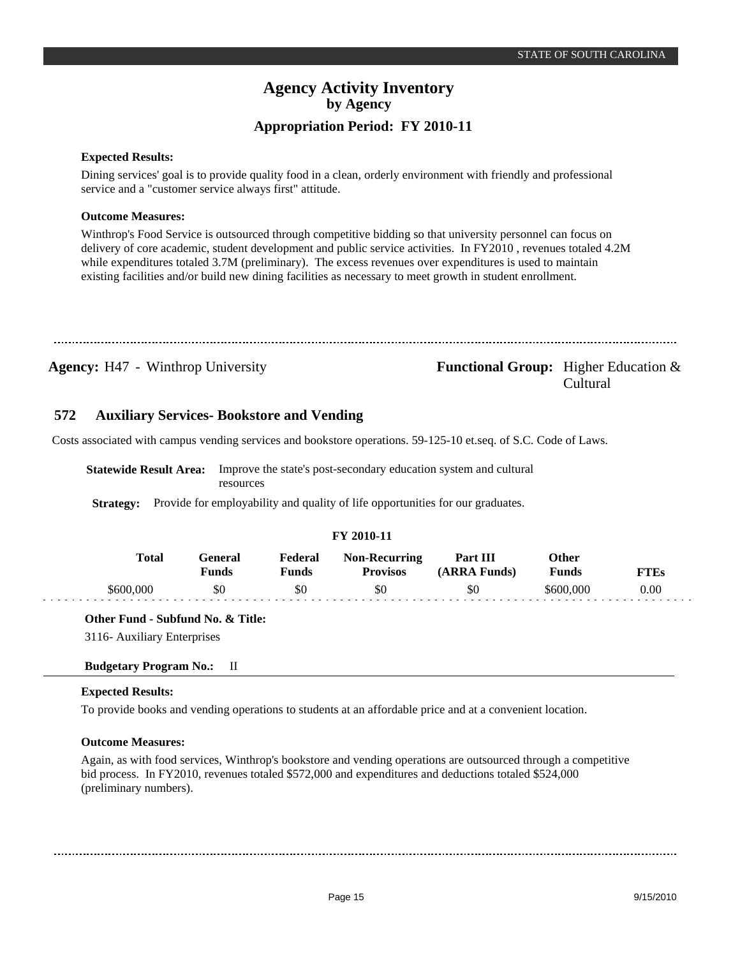## **Expected Results:**

Dining services' goal is to provide quality food in a clean, orderly environment with friendly and professional service and a "customer service always first" attitude.

## **Outcome Measures:**

Winthrop's Food Service is outsourced through competitive bidding so that university personnel can focus on delivery of core academic, student development and public service activities. In FY2010 , revenues totaled 4.2M while expenditures totaled 3.7M (preliminary). The excess revenues over expenditures is used to maintain existing facilities and/or build new dining facilities as necessary to meet growth in student enrollment.

**Agency:** H47 - Winthrop University **- Agency: Functional Group:** Higher Education & Cultural

#### **Auxiliary Services- Bookstore and Vending 572**

Costs associated with campus vending services and bookstore operations. 59-125-10 et.seq. of S.C. Code of Laws.

**Statewide Result Area:** Improve the state's post-secondary education system and cultural resources

**Strategy:** Provide for employability and quality of life opportunities for our graduates.

## **FY 2010-11**

| Total     | General<br>Funds | Federal<br>Funds | <b>Non-Recurring</b><br><b>Provisos</b> | Part III<br>(ARRA Funds) | Other<br>Funds | FTEs |
|-----------|------------------|------------------|-----------------------------------------|--------------------------|----------------|------|
| \$600.000 | \$0              | \$0              | \$0                                     | \$0                      | \$600.000      | 0.00 |

## **Other Fund - Subfund No. & Title:**

3116- Auxiliary Enterprises

## **Budgetary Program No.:** II

## **Expected Results:**

To provide books and vending operations to students at an affordable price and at a convenient location.

## **Outcome Measures:**

Again, as with food services, Winthrop's bookstore and vending operations are outsourced through a competitive bid process. In FY2010, revenues totaled \$572,000 and expenditures and deductions totaled \$524,000 (preliminary numbers).